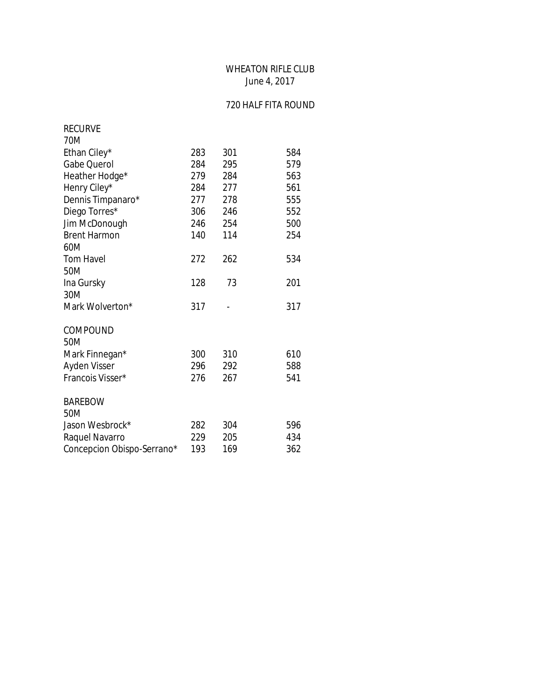## WHEATON RIFLE CLUB June 4, 2017

## 720 HALF FITA ROUND

| <b>RECURVE</b>             |     |     |     |
|----------------------------|-----|-----|-----|
| 70M                        |     |     |     |
| Ethan Ciley*               | 283 | 301 | 584 |
| <b>Gabe Querol</b>         | 284 | 295 | 579 |
| Heather Hodge*             | 279 | 284 | 563 |
| Henry Ciley*               | 284 | 277 | 561 |
| Dennis Timpanaro*          | 277 | 278 | 555 |
| Diego Torres*              | 306 | 246 | 552 |
| Jim McDonough              | 246 | 254 | 500 |
| <b>Brent Harmon</b>        | 140 | 114 | 254 |
| 60M                        |     |     |     |
| <b>Tom Havel</b>           | 272 | 262 | 534 |
| 50M                        |     |     |     |
| Ina Gursky                 | 128 | 73  | 201 |
| 30M                        |     |     |     |
| Mark Wolverton*            | 317 |     | 317 |
|                            |     |     |     |
| COMPOUND                   |     |     |     |
| 50M                        |     |     |     |
| Mark Finnegan*             | 300 | 310 | 610 |
| Ayden Visser               | 296 | 292 | 588 |
| Francois Visser*           | 276 | 267 | 541 |
|                            |     |     |     |
| <b>BAREBOW</b>             |     |     |     |
| 50M                        |     |     |     |
| Jason Wesbrock*            | 282 | 304 | 596 |
| Raquel Navarro             | 229 | 205 | 434 |
| Concepcion Obispo-Serrano* | 193 | 169 | 362 |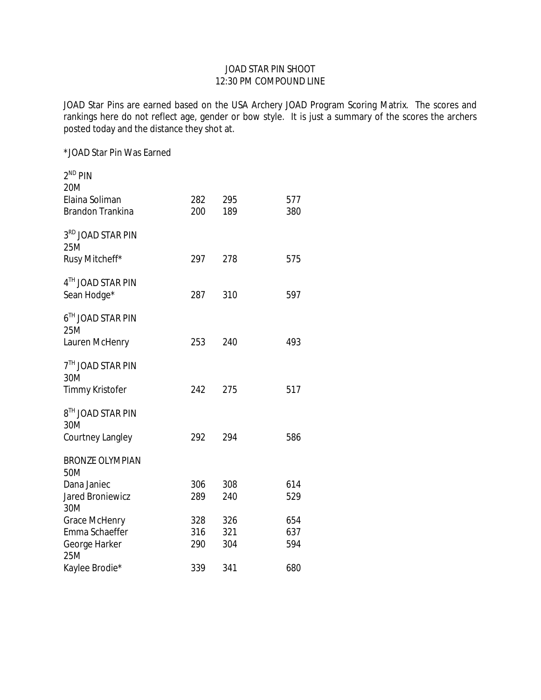## JOAD STAR PIN SHOOT 12:30 PM COMPOUND LINE

JOAD Star Pins are earned based on the USA Archery JOAD Program Scoring Matrix. The scores and rankings here do not reflect age, gender or bow style. It is just a summary of the scores the archers posted today and the distance they shot at.

\*JOAD Star Pin Was Earned

| $2^{ND}$ PIN<br>20M<br>Elaina Soliman                  | 282 | 295 | 577 |
|--------------------------------------------------------|-----|-----|-----|
| <b>Brandon Trankina</b>                                | 200 | 189 | 380 |
| 3 <sup>RD</sup> JOAD STAR PIN<br>25M<br>Rusy Mitcheff* | 297 | 278 | 575 |
| 4TH JOAD STAR PIN<br>Sean Hodge*                       | 287 | 310 | 597 |
| 6TH JOAD STAR PIN<br>25M                               |     |     |     |
| Lauren McHenry                                         | 253 | 240 | 493 |
| 7 <sup>TH</sup> JOAD STAR PIN<br>30M                   |     |     |     |
| <b>Timmy Kristofer</b>                                 | 242 | 275 | 517 |
| 8TH JOAD STAR PIN<br>30M                               |     |     |     |
| Courtney Langley                                       | 292 | 294 | 586 |
| <b>BRONZE OLYMPIAN</b><br>50M                          |     |     |     |
| Dana Janiec                                            | 306 | 308 | 614 |
| <b>Jared Broniewicz</b><br>30M                         | 289 | 240 | 529 |
| <b>Grace McHenry</b>                                   | 328 | 326 | 654 |
| Emma Schaeffer                                         | 316 | 321 | 637 |
| George Harker<br>25M                                   | 290 | 304 | 594 |
| Kaylee Brodie*                                         | 339 | 341 | 680 |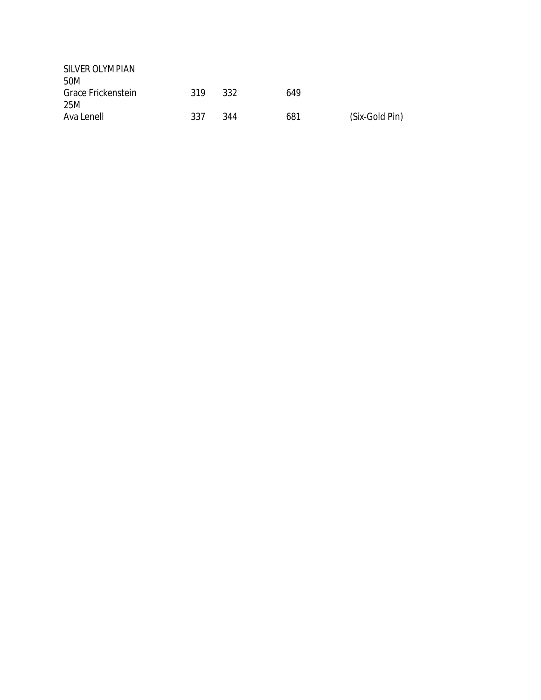| SILVER OLYMPIAN    |     |     |     |                |
|--------------------|-----|-----|-----|----------------|
| .50M               |     |     |     |                |
| Grace Frickenstein | 319 | 332 | 649 |                |
| 25M                |     |     |     |                |
| Ava Lenell         | 337 | 344 | 681 | (Six-Gold Pin) |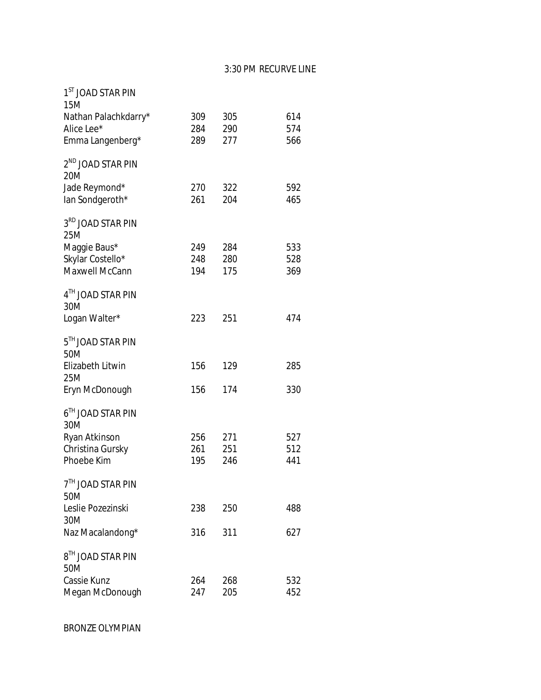| 1 <sup>ST</sup> JOAD STAR PIN<br>15M                   |                   |                   |                   |
|--------------------------------------------------------|-------------------|-------------------|-------------------|
| Nathan Palachkdarry*<br>Alice Lee*<br>Emma Langenberg* | 309<br>284<br>289 | 305<br>290<br>277 | 614<br>574<br>566 |
| 2 <sup>ND</sup> JOAD STAR PIN<br>20M                   |                   |                   |                   |
| Jade Reymond*<br>lan Sondgeroth*                       | 270<br>261        | 322<br>204        | 592<br>465        |
| 3 <sup>RD</sup> JOAD STAR PIN<br>25M                   |                   |                   |                   |
| Maggie Baus*<br>Skylar Costello*<br>Maxwell McCann     | 249<br>248<br>194 | 284<br>280<br>175 | 533<br>528<br>369 |
| 4TH JOAD STAR PIN<br>30M<br>Logan Walter*              | 223               | 251               | 474               |
| 5TH JOAD STAR PIN                                      |                   |                   |                   |
| 50M<br>Elizabeth Litwin<br>25M                         | 156               | 129               | 285               |
| Eryn McDonough                                         | 156               | 174               | 330               |
| 6TH JOAD STAR PIN<br>30M                               |                   |                   |                   |
| Ryan Atkinson<br>Christina Gursky                      | 256<br>261        | 271<br>251        | 527<br>512        |
| Phoebe Kim                                             | 195               | 246               | 441               |
| 7 <sup>TH</sup> JOAD STAR PIN<br>50M                   |                   |                   |                   |
| Leslie Pozezinski<br>30M                               | 238               | 250               | 488               |
| Naz Macalandong*                                       | 316               | 311               | 627               |
| 8 <sup>TH</sup> JOAD STAR PIN<br>50M                   |                   |                   |                   |
| Cassie Kunz<br>Megan McDonough                         | 264<br>247        | 268<br>205        | 532<br>452        |

BRONZE OLYMPIAN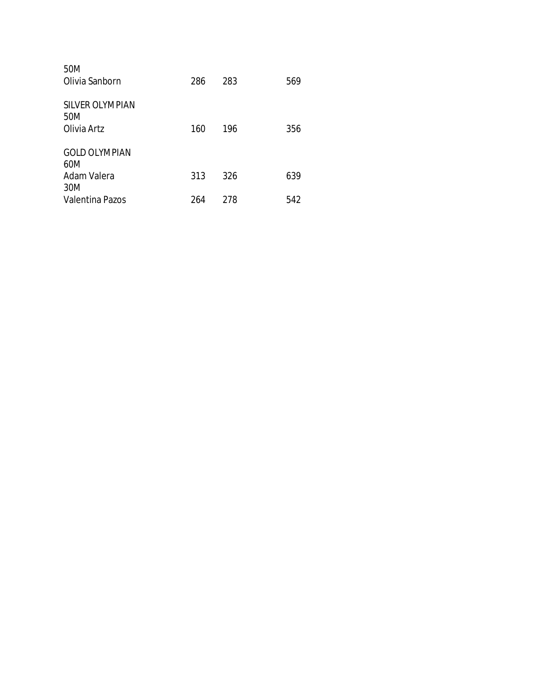| 50M<br>Olivia Sanborn                 | 286 | 283 | 569 |
|---------------------------------------|-----|-----|-----|
| SILVER OLYMPIAN<br>50M<br>Olivia Artz | 160 | 196 | 356 |
| <b>GOLD OLYMPIAN</b><br>60M           |     |     |     |
| Adam Valera<br>30M                    | 313 | 326 | 639 |
| Valentina Pazos                       | 264 | 278 | 542 |